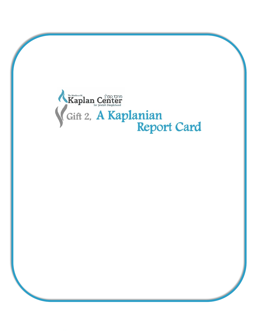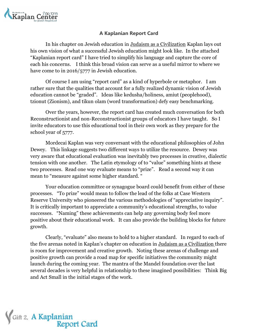

## **A Kaplanian Report Card**

In his chapter on Jewish education in Judaism as a Civilization Kaplan lays out his own vision of what a successful Jewish education might look like. In the attached "Kaplanian report card" I have tried to simplify his language and capture the core of each his concerns. I think this broad vision can serve as a useful mirror to where we have come to in 2016/5777 in Jewish education.

Of course I am using "report card" as a kind of hyperbole or metaphor. I am rather sure that the qualities that account for a fully realized dynamic vision of Jewish education cannot be "graded". Ideas like kedusha/holiness, amiut (peoplehood), tzionut (Zionism), and tikun olam (word transformation) defy easy benchmarking.

Over the years, however, the report card has created much conversation for both Reconstructionist and non-Reconstructionist groups of educators I have taught. So I invite educators to use this educational tool in their own work as they prepare for the school year of 5777.

Mordecai Kaplan was very conversant with the educational philosophies of John Dewey. This linkage suggests two different ways to utilize the resource. Dewey was very aware that educational evaluation was inevitably two processes in creative, dialectic tension with one another. The Latin etymology of to "value" something hints at these two processes. Read one way evaluate means to "prize". Read a second way it can mean to "measure against some higher standard. "

Your education committee or synagogue board could benefit from either of these processes. "To prize" would mean to follow the lead of the folks at Case Western Reserve University who pioneered the various methodologies of "appreciative inquiry". It is critically important to appreciate a community's educational strengths, to value successes. "Naming" these achievements can help any governing body feel more positive about their educational work. It can also provide the building blocks for future growth.

Clearly, "evaluate" also means to hold to a higher standard. In regard to each of the five arenas noted in Kaplan's chapter on education in Judaism as a Civilization there is room for improvement and creative growth. Noting these arenas of challenge and positive growth can provide a road map for specific initiatives the community might launch during the coming year. The mantra of the Mandel foundation over the last several decades is very helpful in relationship to these imagined possibilities: Think Big and Act Small in the initial stages of the work.